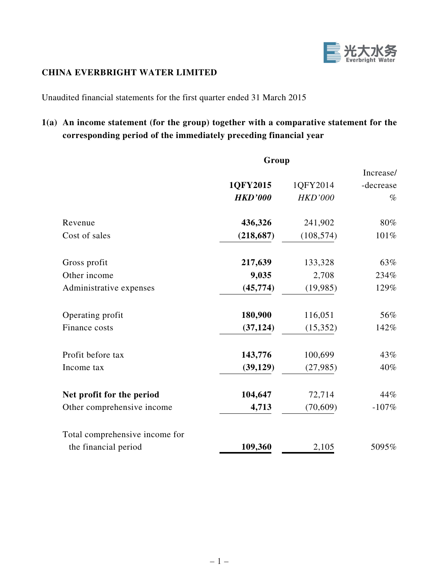

### **CHINA EVERBRIGHT WATER LIMITED**

Unaudited financial statements for the first quarter ended 31 March 2015

# **1(a) An income statement (for the group) together with a comparative statement for the corresponding period of the immediately preceding financial year**

|                                | Group          |                |           |  |
|--------------------------------|----------------|----------------|-----------|--|
|                                |                |                | Increase/ |  |
|                                | 1QFY2015       | 1QFY2014       | -decrease |  |
|                                | <b>HKD'000</b> | <b>HKD'000</b> | $\%$      |  |
| Revenue                        | 436,326        | 241,902        | 80%       |  |
| Cost of sales                  | (218, 687)     | (108, 574)     | 101%      |  |
| Gross profit                   | 217,639        | 133,328        | 63%       |  |
| Other income                   | 9,035          | 2,708          | 234%      |  |
| Administrative expenses        | (45, 774)      | (19, 985)      | 129%      |  |
| Operating profit               | 180,900        | 116,051        | 56%       |  |
| Finance costs                  | (37, 124)      | (15,352)       | 142%      |  |
| Profit before tax              | 143,776        | 100,699        | 43%       |  |
| Income tax                     | (39, 129)      | (27,985)       | 40%       |  |
| Net profit for the period      | 104,647        | 72,714         | 44%       |  |
| Other comprehensive income     | 4,713          | (70, 609)      | $-107%$   |  |
| Total comprehensive income for |                |                |           |  |
| the financial period           | 109,360        | 2,105          | 5095%     |  |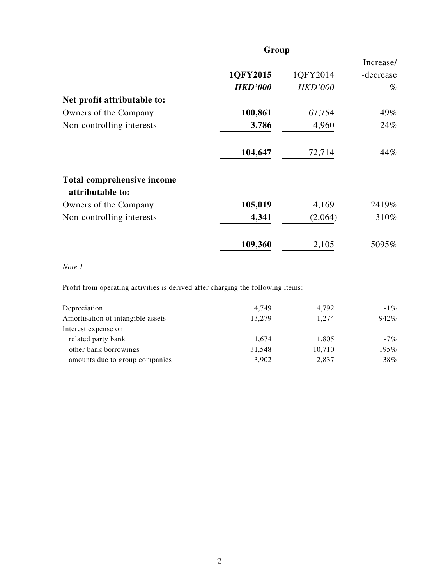|                                                       | Group          |                |           |  |
|-------------------------------------------------------|----------------|----------------|-----------|--|
|                                                       |                |                | Increase/ |  |
|                                                       | 1QFY2015       | 1QFY2014       | -decrease |  |
|                                                       | <b>HKD'000</b> | <b>HKD'000</b> | $\%$      |  |
| Net profit attributable to:                           |                |                |           |  |
| Owners of the Company                                 | 100,861        | 67,754         | 49%       |  |
| Non-controlling interests                             | 3,786          | 4,960          | $-24%$    |  |
|                                                       | 104,647        | 72,714         | 44%       |  |
| <b>Total comprehensive income</b><br>attributable to: |                |                |           |  |
| Owners of the Company                                 | 105,019        | 4,169          | 2419%     |  |
| Non-controlling interests                             | 4,341          | (2,064)        | $-310%$   |  |
|                                                       | 109,360        | 2,105          | 5095%     |  |

*Note 1*

Profit from operating activities is derived after charging the following items:

| Depreciation                      | 4.749  | 4.792  | $-1\%$ |
|-----------------------------------|--------|--------|--------|
| Amortisation of intangible assets | 13,279 | 1.274  | 942%   |
| Interest expense on:              |        |        |        |
| related party bank                | 1.674  | 1,805  | $-7\%$ |
| other bank borrowings             | 31,548 | 10,710 | 195%   |
| amounts due to group companies    | 3,902  | 2,837  | 38%    |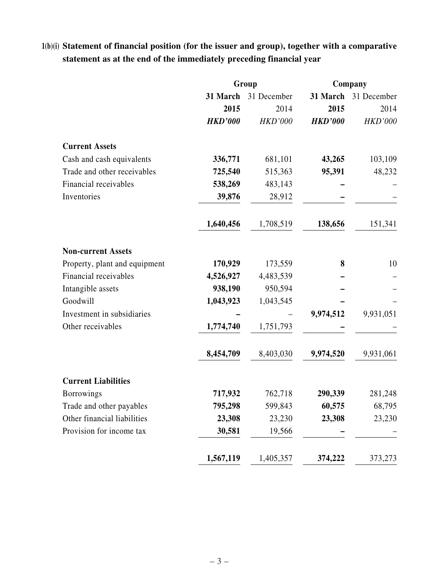## **1(b)(i) Statement of financial position (for the issuer and group), together with a comparative statement as at the end of the immediately preceding financial year**

|                               | Group          |                | Company        |                |
|-------------------------------|----------------|----------------|----------------|----------------|
|                               | 31 March       | 31 December    | 31 March       | 31 December    |
|                               | 2015           | 2014           | 2015           | 2014           |
|                               | <b>HKD'000</b> | <b>HKD'000</b> | <b>HKD'000</b> | <b>HKD'000</b> |
| <b>Current Assets</b>         |                |                |                |                |
| Cash and cash equivalents     | 336,771        | 681,101        | 43,265         | 103,109        |
| Trade and other receivables   | 725,540        | 515,363        | 95,391         | 48,232         |
| Financial receivables         | 538,269        | 483,143        |                |                |
| Inventories                   | 39,876         | 28,912         |                |                |
|                               | 1,640,456      | 1,708,519      | 138,656        | 151,341        |
| <b>Non-current Assets</b>     |                |                |                |                |
| Property, plant and equipment | 170,929        | 173,559        | 8              | 10             |
| Financial receivables         | 4,526,927      | 4,483,539      |                |                |
| Intangible assets             | 938,190        | 950,594        |                |                |
| Goodwill                      | 1,043,923      | 1,043,545      |                |                |
| Investment in subsidiaries    |                |                | 9,974,512      | 9,931,051      |
| Other receivables             | 1,774,740      | 1,751,793      |                |                |
|                               | 8,454,709      | 8,403,030      | 9,974,520      | 9,931,061      |
| <b>Current Liabilities</b>    |                |                |                |                |
| <b>Borrowings</b>             | 717,932        | 762,718        | 290,339        | 281,248        |
| Trade and other payables      | 795,298        | 599,843        | 60,575         | 68,795         |
| Other financial liabilities   | 23,308         | 23,230         | 23,308         | 23,230         |
| Provision for income tax      | 30,581         | 19,566         |                |                |
|                               | 1,567,119      | 1,405,357      | 374,222        | 373,273        |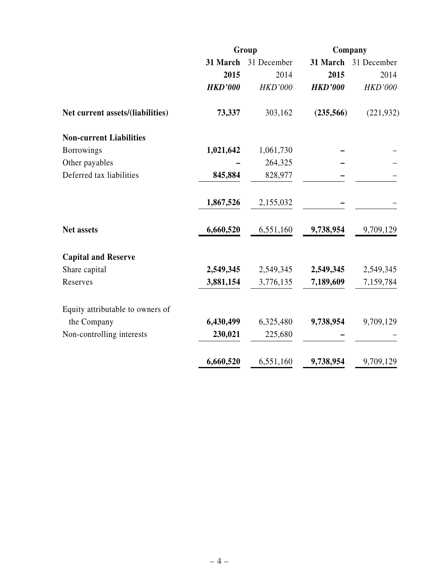|                                  | Group          |                | Company        |             |
|----------------------------------|----------------|----------------|----------------|-------------|
|                                  | 31 March       | 31 December    | 31 March       | 31 December |
|                                  | 2015           | 2014           | 2015           | 2014        |
|                                  | <b>HKD'000</b> | <b>HKD'000</b> | <b>HKD'000</b> | HKD'000     |
| Net current assets/(liabilities) | 73,337         | 303,162        | (235,566)      | (221, 932)  |
| <b>Non-current Liabilities</b>   |                |                |                |             |
| <b>Borrowings</b>                | 1,021,642      | 1,061,730      |                |             |
| Other payables                   |                | 264,325        |                |             |
| Deferred tax liabilities         | 845,884        | 828,977        |                |             |
|                                  | 1,867,526      | 2,155,032      |                |             |
| <b>Net assets</b>                | 6,660,520      | 6,551,160      | 9,738,954      | 9,709,129   |
| <b>Capital and Reserve</b>       |                |                |                |             |
| Share capital                    | 2,549,345      | 2,549,345      | 2,549,345      | 2,549,345   |
| Reserves                         | 3,881,154      | 3,776,135      | 7,189,609      | 7,159,784   |
| Equity attributable to owners of |                |                |                |             |
| the Company                      | 6,430,499      | 6,325,480      | 9,738,954      | 9,709,129   |
| Non-controlling interests        | 230,021        | 225,680        |                |             |
|                                  | 6,660,520      | 6,551,160      | 9,738,954      | 9,709,129   |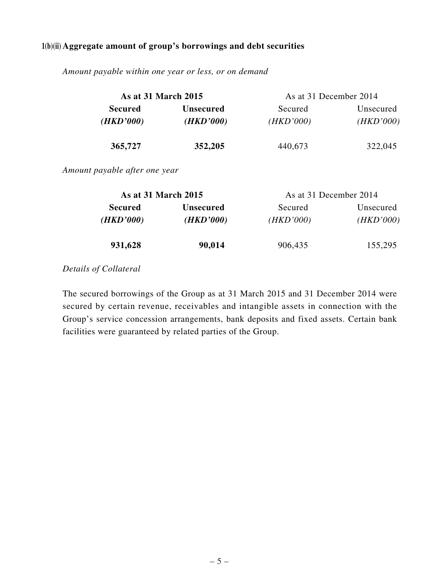#### **1(b)(ii) Aggregate amount of group's borrowings and debt securities**

| <b>As at 31 March 2015</b>  |                               | As at 31 December 2014 |                        |
|-----------------------------|-------------------------------|------------------------|------------------------|
| <b>Secured</b><br>(HKD'000) | <b>Unsecured</b><br>(HKD'000) | Secured<br>(HKD'000)   | Unsecured<br>(HKD'000) |
| 365,727                     | 352,205                       | 440,673                | 322,045                |

*Amount payable within one year or less, or on demand*

*Amount payable after one year*

| As at 31 March 2015         |                               | As at 31 December 2014 |                        |  |
|-----------------------------|-------------------------------|------------------------|------------------------|--|
| <b>Secured</b><br>(HKD'000) | <b>Unsecured</b><br>(HKD'000) |                        | Unsecured<br>(HKD'000) |  |
| 931,628                     | 90,014                        | 906,435                | 155,295                |  |

### *Details of Collateral*

The secured borrowings of the Group as at 31 March 2015 and 31 December 2014 were secured by certain revenue, receivables and intangible assets in connection with the Group's service concession arrangements, bank deposits and fixed assets. Certain bank facilities were guaranteed by related parties of the Group.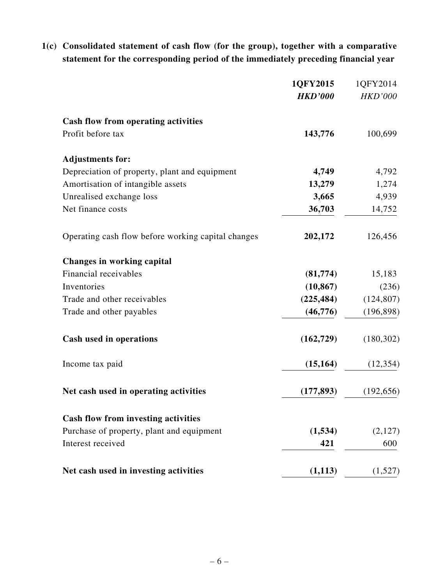**1(c) Consolidated statement of cash flow (for the group), together with a comparative statement for the corresponding period of the immediately preceding financial year**

|                                                    | 1QFY2015       | 1QFY2014       |
|----------------------------------------------------|----------------|----------------|
|                                                    | <b>HKD'000</b> | <b>HKD'000</b> |
| Cash flow from operating activities                |                |                |
| Profit before tax                                  | 143,776        | 100,699        |
| <b>Adjustments for:</b>                            |                |                |
| Depreciation of property, plant and equipment      | 4,749          | 4,792          |
| Amortisation of intangible assets                  | 13,279         | 1,274          |
| Unrealised exchange loss                           | 3,665          | 4,939          |
| Net finance costs                                  | 36,703         | 14,752         |
| Operating cash flow before working capital changes | 202,172        | 126,456        |
| <b>Changes in working capital</b>                  |                |                |
| Financial receivables                              | (81,774)       | 15,183         |
| Inventories                                        | (10, 867)      | (236)          |
| Trade and other receivables                        | (225, 484)     | (124, 807)     |
| Trade and other payables                           | (46,776)       | (196, 898)     |
| <b>Cash used in operations</b>                     | (162, 729)     | (180, 302)     |
| Income tax paid                                    | (15, 164)      | (12, 354)      |
| Net cash used in operating activities              | (177, 893)     | (192, 656)     |
| <b>Cash flow from investing activities</b>         |                |                |
| Purchase of property, plant and equipment          | (1, 534)       | (2,127)        |
| Interest received                                  | 421            | 600            |
| Net cash used in investing activities              | (1, 113)       | (1,527)        |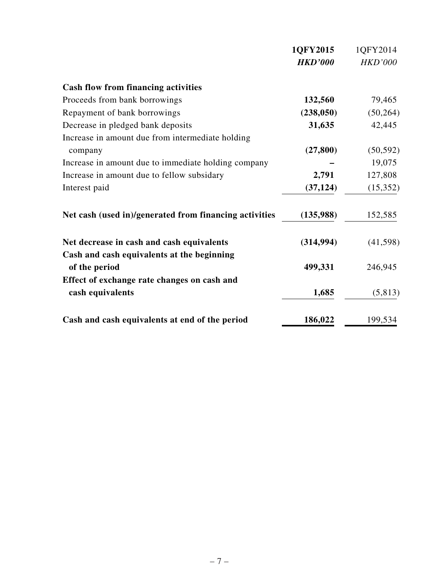|                                                             | 1QFY2015       | 1QFY2014       |
|-------------------------------------------------------------|----------------|----------------|
|                                                             | <b>HKD'000</b> | <b>HKD'000</b> |
| <b>Cash flow from financing activities</b>                  |                |                |
| Proceeds from bank borrowings                               | 132,560        | 79,465         |
| Repayment of bank borrowings                                | (238, 050)     | (50, 264)      |
| Decrease in pledged bank deposits                           | 31,635         | 42,445         |
| Increase in amount due from intermediate holding            |                |                |
| company                                                     | (27, 800)      | (50, 592)      |
| Increase in amount due to immediate holding company         |                | 19,075         |
| Increase in amount due to fellow subsidary                  | 2,791          | 127,808        |
| Interest paid                                               | (37, 124)      | (15,352)       |
| Net cash (used in)/generated from financing activities      | (135,988)      | 152,585        |
| Net decrease in cash and cash equivalents                   | (314, 994)     | (41, 598)      |
| Cash and cash equivalents at the beginning<br>of the period | 499,331        | 246,945        |
| Effect of exchange rate changes on cash and                 |                |                |
| cash equivalents                                            | 1,685          | (5, 813)       |
| Cash and cash equivalents at end of the period              | 186,022        | 199,534        |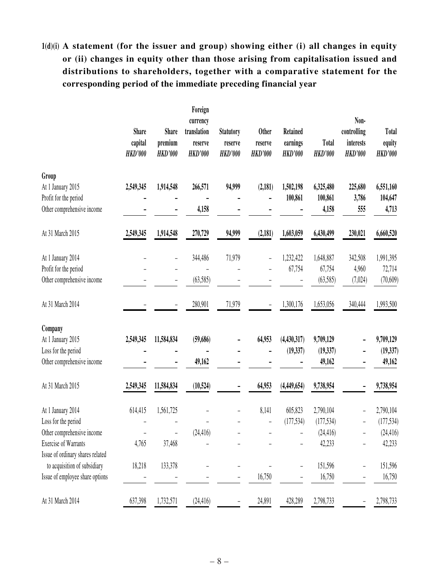# **1(d)(i) A statement (for the issuer and group) showing either (i) all changes in equity or (ii) changes in equity other than those arising from capitalisation issued and distributions to shareholders, together with a comparative statement for the corresponding period of the immediate preceding financial year**

|                                  | <b>Share</b><br>capital<br><b>HKD'000</b> | <b>Share</b><br>premium<br><b>HKD'000</b> | Foreign<br>currency<br>translation<br>reserve<br><b>HKD'000</b> | <b>Statutory</b><br>reserve<br><b>HKD'000</b> | <b>Other</b><br>reserve<br><b>HKD'000</b> | <b>Retained</b><br>earnings<br><b>HKD'000</b> | <b>Total</b><br><b>HKD'000</b> | Non-<br>controlling<br>interests<br><b>HKD'000</b> | Total<br>equity<br><b>HKD'000</b> |
|----------------------------------|-------------------------------------------|-------------------------------------------|-----------------------------------------------------------------|-----------------------------------------------|-------------------------------------------|-----------------------------------------------|--------------------------------|----------------------------------------------------|-----------------------------------|
| Group                            |                                           |                                           |                                                                 |                                               |                                           |                                               |                                |                                                    |                                   |
| At 1 January 2015                | 2,549,345                                 | 1,914,548                                 | 266,571                                                         | 94,999                                        | (2,181)                                   | 1,502,198                                     | 6,325,480                      | 225,680                                            | 6,551,160                         |
| Profit for the period            |                                           |                                           |                                                                 |                                               |                                           | 100,861                                       | 100,861                        | 3,786                                              | 104,647                           |
| Other comprehensive income       |                                           |                                           | 4,158                                                           |                                               |                                           |                                               | 4,158                          | 555                                                | 4,713                             |
| At 31 March 2015                 | 2,549,345                                 | 1,914,548                                 | 270,729                                                         | 94,999                                        | (2, 181)                                  | 1,603,059                                     | 6,430,499                      | 230,021                                            | 6,660,520                         |
| At 1 January 2014                |                                           | -                                         | 344,486                                                         | 71,979                                        |                                           | 1,232,422                                     | 1,648,887                      | 342,508                                            | 1,991,395                         |
| Profit for the period            |                                           |                                           |                                                                 |                                               |                                           | 67,754                                        | 67,754                         | 4,960                                              | 72,714                            |
| Other comprehensive income       |                                           |                                           | (63,585)                                                        |                                               |                                           |                                               | (63,585)                       | (7,024)                                            | (70, 609)                         |
| At 31 March 2014                 |                                           |                                           | 280,901                                                         | 71,979                                        |                                           | 1,300,176                                     | 1,653,056                      | 340,444                                            | 1,993,500                         |
| Company                          |                                           |                                           |                                                                 |                                               |                                           |                                               |                                |                                                    |                                   |
| At 1 January 2015                | 2,549,345                                 | 11,584,834                                | (59,686)                                                        |                                               | 64,953                                    | (4, 430, 317)                                 | 9,709,129                      |                                                    | 9,709,129                         |
| Loss for the period              |                                           |                                           |                                                                 |                                               |                                           | (19, 337)                                     | (19, 337)                      |                                                    | (19, 337)                         |
| Other comprehensive income       |                                           |                                           | 49,162                                                          |                                               |                                           |                                               | 49,162                         |                                                    | 49,162                            |
| At 31 March 2015                 | 2,549,345                                 | 11,584,834                                | (10, 524)                                                       |                                               | 64,953                                    | (4,449,654)                                   | 9,738,954                      |                                                    | 9,738,954                         |
| At 1 January 2014                | 614,415                                   | 1,561,725                                 |                                                                 |                                               | 8,141                                     | 605,823                                       | 2,790,104                      |                                                    | 2,790,104                         |
| Loss for the period              |                                           |                                           |                                                                 |                                               |                                           | (177, 534)                                    | (177, 534)                     |                                                    | (177, 534)                        |
| Other comprehensive income       |                                           |                                           | (24, 416)                                                       |                                               |                                           |                                               | (24, 416)                      |                                                    | (24, 416)                         |
| Exercise of Warrants             | 4,765                                     | 37,468                                    |                                                                 |                                               |                                           |                                               | 42,233                         |                                                    | 42,233                            |
| Issue of ordinary shares related |                                           |                                           |                                                                 |                                               |                                           |                                               |                                |                                                    |                                   |
| to acquisition of subsidiary     | 18,218                                    | 133,378                                   |                                                                 |                                               |                                           |                                               | 151,596                        |                                                    | 151,596                           |
| Issue of employee share options  |                                           |                                           |                                                                 |                                               | 16,750                                    |                                               | 16,750                         |                                                    | 16,750                            |
| At 31 March 2014                 | 637,398                                   | 1,732,571                                 | (24, 416)                                                       |                                               | 24,891                                    | 428,289                                       | 2,798,733                      |                                                    | 2,798,733                         |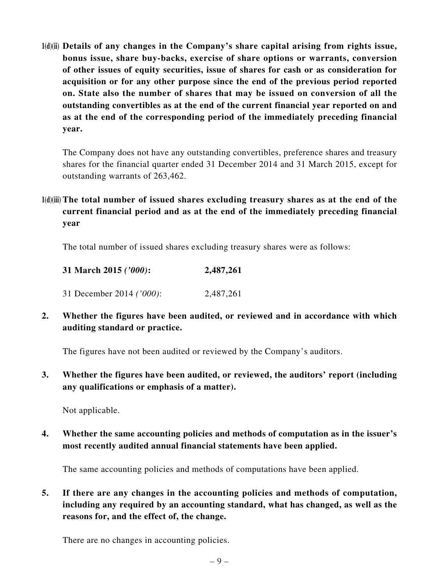**1(d)(ii) Details of any changes in the Company's share capital arising from rights issue, bonus issue, share buy-backs, exercise of share options or warrants, conversion of other issues of equity securities, issue of shares for cash or as consideration for acquisition or for any other purpose since the end of the previous period reported on. State also the number of shares that may be issued on conversion of all the outstanding convertibles as at the end of the current financial year reported on and as at the end of the corresponding period of the immediately preceding financial year.**

The Company does not have any outstanding convertibles, preference shares and treasury shares for the financial quarter ended 31 December 2014 and 31 March 2015, except for outstanding warrants of 263,462.

## **1(d)(iii) The total number of issued shares excluding treasury shares as at the end of the current financial period and as at the end of the immediately preceding financial year**

The total number of issued shares excluding treasury shares were as follows:

| 31 March 2015 ('000):    | 2,487,261 |
|--------------------------|-----------|
| 31 December 2014 ('000): | 2,487,261 |

**2. Whether the figures have been audited, or reviewed and in accordance with which auditing standard or practice.**

The figures have not been audited or reviewed by the Company's auditors.

**3. Whether the figures have been audited, or reviewed, the auditors' report (including any qualifications or emphasis of a matter).**

Not applicable.

**4. Whether the same accounting policies and methods of computation as in the issuer's most recently audited annual financial statements have been applied.**

The same accounting policies and methods of computations have been applied.

**5. If there are any changes in the accounting policies and methods of computation, including any required by an accounting standard, what has changed, as well as the reasons for, and the effect of, the change.**

There are no changes in accounting policies.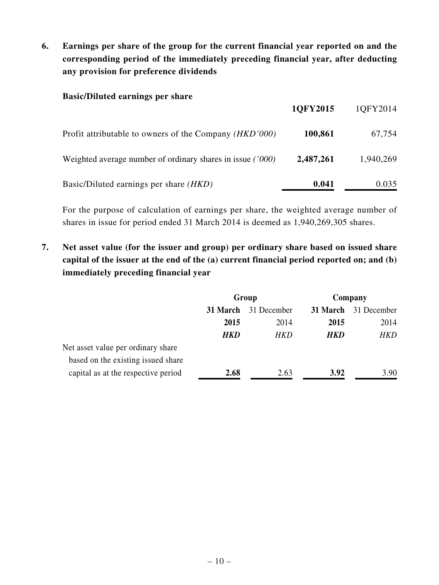**6. Earnings per share of the group for the current financial year reported on and the corresponding period of the immediately preceding financial year, after deducting any provision for preference dividends**

#### **Basic/Diluted earnings per share**

|                                                                 | 1QFY2015  | 1QFY2014  |
|-----------------------------------------------------------------|-----------|-----------|
| Profit attributable to owners of the Company ( <i>HKD</i> '000) | 100,861   | 67,754    |
| Weighted average number of ordinary shares in issue ('000)      | 2,487,261 | 1,940,269 |
| Basic/Diluted earnings per share ( <i>HKD</i> )                 | 0.041     | 0.035     |

For the purpose of calculation of earnings per share, the weighted average number of shares in issue for period ended 31 March 2014 is deemed as 1,940,269,305 shares.

**7. Net asset value (for the issuer and group) per ordinary share based on issued share capital of the issuer at the end of the (a) current financial period reported on; and (b) immediately preceding financial year**

|                                     | Group      |             | Company    |             |
|-------------------------------------|------------|-------------|------------|-------------|
|                                     | 31 March   | 31 December | 31 March   | 31 December |
|                                     | 2015       | 2014        | 2015       | 2014        |
|                                     | <b>HKD</b> | HKD         | <b>HKD</b> | HKD         |
| Net asset value per ordinary share  |            |             |            |             |
| based on the existing issued share  |            |             |            |             |
| capital as at the respective period | 2.68       | 2.63        | 3.92       | 3.90        |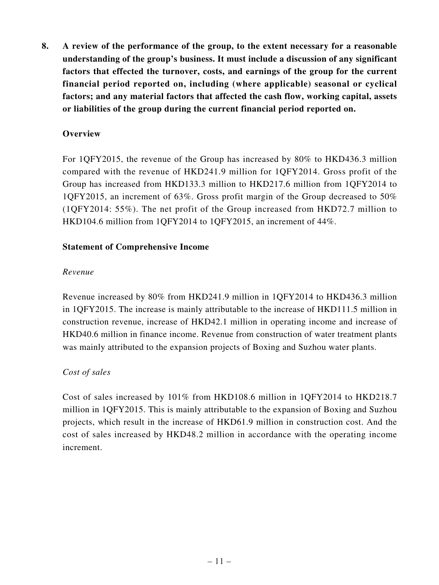**8. A review of the performance of the group, to the extent necessary for a reasonable understanding of the group's business. It must include a discussion of any significant factors that effected the turnover, costs, and earnings of the group for the current financial period reported on, including (where applicable) seasonal or cyclical factors; and any material factors that affected the cash flow, working capital, assets or liabilities of the group during the current financial period reported on.**

### **Overview**

For 1QFY2015, the revenue of the Group has increased by 80% to HKD436.3 million compared with the revenue of HKD241.9 million for 1QFY2014. Gross profit of the Group has increased from HKD133.3 million to HKD217.6 million from 1QFY2014 to 1QFY2015, an increment of 63%. Gross profit margin of the Group decreased to 50% (1QFY2014: 55%). The net profit of the Group increased from HKD72.7 million to HKD104.6 million from 1QFY2014 to 1QFY2015, an increment of 44%.

#### **Statement of Comprehensive Income**

#### *Revenue*

Revenue increased by 80% from HKD241.9 million in 1QFY2014 to HKD436.3 million in 1QFY2015. The increase is mainly attributable to the increase of HKD111.5 million in construction revenue, increase of HKD42.1 million in operating income and increase of HKD40.6 million in finance income. Revenue from construction of water treatment plants was mainly attributed to the expansion projects of Boxing and Suzhou water plants.

#### *Cost of sales*

Cost of sales increased by 101% from HKD108.6 million in 1QFY2014 to HKD218.7 million in 1QFY2015. This is mainly attributable to the expansion of Boxing and Suzhou projects, which result in the increase of HKD61.9 million in construction cost. And the cost of sales increased by HKD48.2 million in accordance with the operating income increment.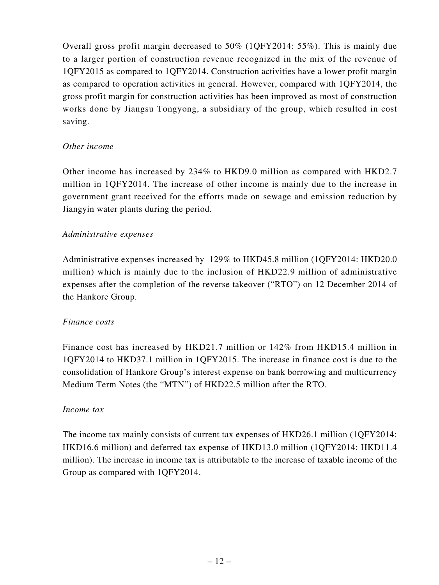Overall gross profit margin decreased to 50% (1QFY2014: 55%). This is mainly due to a larger portion of construction revenue recognized in the mix of the revenue of 1QFY2015 as compared to 1QFY2014. Construction activities have a lower profit margin as compared to operation activities in general. However, compared with 1QFY2014, the gross profit margin for construction activities has been improved as most of construction works done by Jiangsu Tongyong, a subsidiary of the group, which resulted in cost saving.

#### *Other income*

Other income has increased by 234% to HKD9.0 million as compared with HKD2.7 million in 1QFY2014. The increase of other income is mainly due to the increase in government grant received for the efforts made on sewage and emission reduction by Jiangyin water plants during the period.

#### *Administrative expenses*

Administrative expenses increased by 129% to HKD45.8 million (1QFY2014: HKD20.0 million) which is mainly due to the inclusion of HKD22.9 million of administrative expenses after the completion of the reverse takeover ("RTO") on 12 December 2014 of the Hankore Group.

#### *Finance costs*

Finance cost has increased by HKD21.7 million or 142% from HKD15.4 million in 1QFY2014 to HKD37.1 million in 1QFY2015. The increase in finance cost is due to the consolidation of Hankore Group's interest expense on bank borrowing and multicurrency Medium Term Notes (the "MTN") of HKD22.5 million after the RTO.

#### *Income tax*

The income tax mainly consists of current tax expenses of HKD26.1 million (1QFY2014: HKD16.6 million) and deferred tax expense of HKD13.0 million (1QFY2014: HKD11.4 million). The increase in income tax is attributable to the increase of taxable income of the Group as compared with 1QFY2014.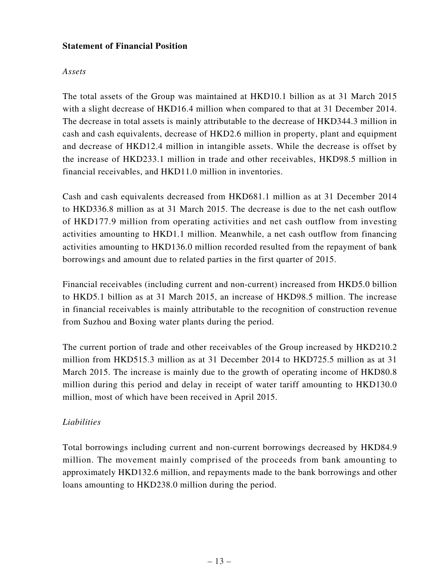### **Statement of Financial Position**

### *Assets*

The total assets of the Group was maintained at HKD10.1 billion as at 31 March 2015 with a slight decrease of HKD16.4 million when compared to that at 31 December 2014. The decrease in total assets is mainly attributable to the decrease of HKD344.3 million in cash and cash equivalents, decrease of HKD2.6 million in property, plant and equipment and decrease of HKD12.4 million in intangible assets. While the decrease is offset by the increase of HKD233.1 million in trade and other receivables, HKD98.5 million in financial receivables, and HKD11.0 million in inventories.

Cash and cash equivalents decreased from HKD681.1 million as at 31 December 2014 to HKD336.8 million as at 31 March 2015. The decrease is due to the net cash outflow of HKD177.9 million from operating activities and net cash outflow from investing activities amounting to HKD1.1 million. Meanwhile, a net cash outflow from financing activities amounting to HKD136.0 million recorded resulted from the repayment of bank borrowings and amount due to related parties in the first quarter of 2015.

Financial receivables (including current and non-current) increased from HKD5.0 billion to HKD5.1 billion as at 31 March 2015, an increase of HKD98.5 million. The increase in financial receivables is mainly attributable to the recognition of construction revenue from Suzhou and Boxing water plants during the period.

The current portion of trade and other receivables of the Group increased by HKD210.2 million from HKD515.3 million as at 31 December 2014 to HKD725.5 million as at 31 March 2015. The increase is mainly due to the growth of operating income of HKD80.8 million during this period and delay in receipt of water tariff amounting to HKD130.0 million, most of which have been received in April 2015.

## *Liabilities*

Total borrowings including current and non-current borrowings decreased by HKD84.9 million. The movement mainly comprised of the proceeds from bank amounting to approximately HKD132.6 million, and repayments made to the bank borrowings and other loans amounting to HKD238.0 million during the period.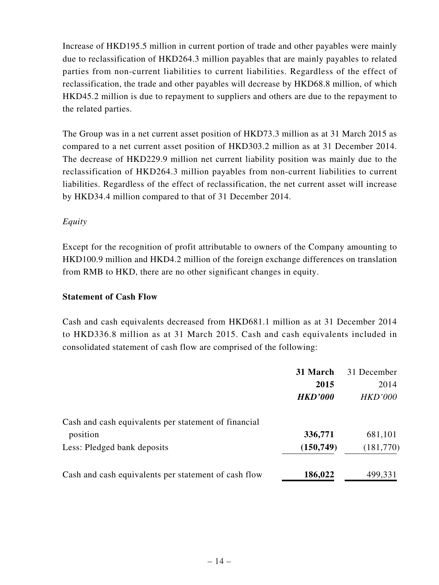Increase of HKD195.5 million in current portion of trade and other payables were mainly due to reclassification of HKD264.3 million payables that are mainly payables to related parties from non-current liabilities to current liabilities. Regardless of the effect of reclassification, the trade and other payables will decrease by HKD68.8 million, of which HKD45.2 million is due to repayment to suppliers and others are due to the repayment to the related parties.

The Group was in a net current asset position of HKD73.3 million as at 31 March 2015 as compared to a net current asset position of HKD303.2 million as at 31 December 2014. The decrease of HKD229.9 million net current liability position was mainly due to the reclassification of HKD264.3 million payables from non-current liabilities to current liabilities. Regardless of the effect of reclassification, the net current asset will increase by HKD34.4 million compared to that of 31 December 2014.

### *Equity*

Except for the recognition of profit attributable to owners of the Company amounting to HKD100.9 million and HKD4.2 million of the foreign exchange differences on translation from RMB to HKD, there are no other significant changes in equity.

### **Statement of Cash Flow**

Cash and cash equivalents decreased from HKD681.1 million as at 31 December 2014 to HKD336.8 million as at 31 March 2015. Cash and cash equivalents included in consolidated statement of cash flow are comprised of the following:

|                                                      | 31 March       | 31 December    |
|------------------------------------------------------|----------------|----------------|
|                                                      | 2015           | 2014           |
|                                                      | <b>HKD'000</b> | <b>HKD'000</b> |
| Cash and cash equivalents per statement of financial |                |                |
| position                                             | 336,771        | 681,101        |
| Less: Pledged bank deposits                          | (150, 749)     | (181,770)      |
| Cash and cash equivalents per statement of cash flow | 186,022        | 499,331        |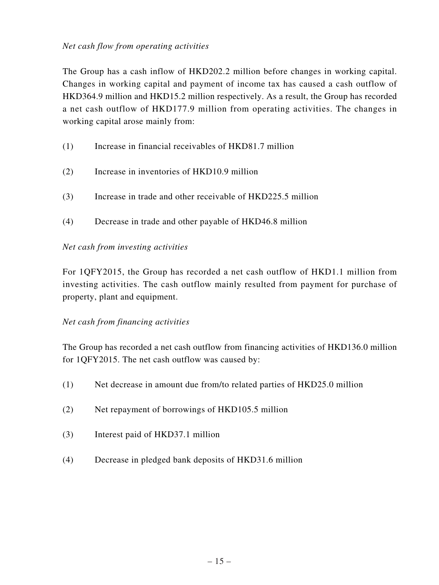### *Net cash flow from operating activities*

The Group has a cash inflow of HKD202.2 million before changes in working capital. Changes in working capital and payment of income tax has caused a cash outflow of HKD364.9 million and HKD15.2 million respectively. As a result, the Group has recorded a net cash outflow of HKD177.9 million from operating activities. The changes in working capital arose mainly from:

- (1) Increase in financial receivables of HKD81.7 million
- (2) Increase in inventories of HKD10.9 million
- (3) Increase in trade and other receivable of HKD225.5 million
- (4) Decrease in trade and other payable of HKD46.8 million

#### *Net cash from investing activities*

For 1QFY2015, the Group has recorded a net cash outflow of HKD1.1 million from investing activities. The cash outflow mainly resulted from payment for purchase of property, plant and equipment.

#### *Net cash from financing activities*

The Group has recorded a net cash outflow from financing activities of HKD136.0 million for 1QFY2015. The net cash outflow was caused by:

- (1) Net decrease in amount due from/to related parties of HKD25.0 million
- (2) Net repayment of borrowings of HKD105.5 million
- (3) Interest paid of HKD37.1 million
- (4) Decrease in pledged bank deposits of HKD31.6 million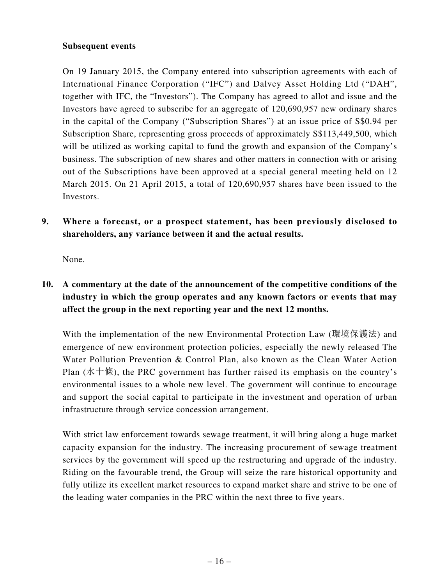#### **Subsequent events**

On 19 January 2015, the Company entered into subscription agreements with each of International Finance Corporation ("IFC") and Dalvey Asset Holding Ltd ("DAH", together with IFC, the "Investors"). The Company has agreed to allot and issue and the Investors have agreed to subscribe for an aggregate of 120,690,957 new ordinary shares in the capital of the Company ("Subscription Shares") at an issue price of S\$0.94 per Subscription Share, representing gross proceeds of approximately S\$113,449,500, which will be utilized as working capital to fund the growth and expansion of the Company's business. The subscription of new shares and other matters in connection with or arising out of the Subscriptions have been approved at a special general meeting held on 12 March 2015. On 21 April 2015, a total of 120,690,957 shares have been issued to the Investors.

**9. Where a forecast, or a prospect statement, has been previously disclosed to shareholders, any variance between it and the actual results.**

None.

## **10. A commentary at the date of the announcement of the competitive conditions of the industry in which the group operates and any known factors or events that may affect the group in the next reporting year and the next 12 months.**

With the implementation of the new Environmental Protection Law (環境保護法) and emergence of new environment protection policies, especially the newly released The Water Pollution Prevention & Control Plan, also known as the Clean Water Action Plan (水十條), the PRC government has further raised its emphasis on the country's environmental issues to a whole new level. The government will continue to encourage and support the social capital to participate in the investment and operation of urban infrastructure through service concession arrangement.

With strict law enforcement towards sewage treatment, it will bring along a huge market capacity expansion for the industry. The increasing procurement of sewage treatment services by the government will speed up the restructuring and upgrade of the industry. Riding on the favourable trend, the Group will seize the rare historical opportunity and fully utilize its excellent market resources to expand market share and strive to be one of the leading water companies in the PRC within the next three to five years.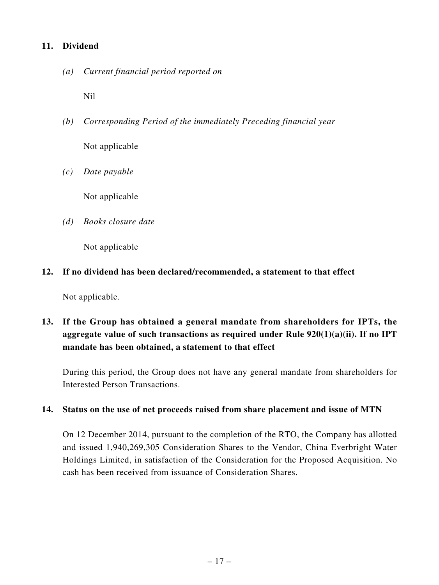### **11. Dividend**

*(a) Current financial period reported on*

Nil

- *(b) Corresponding Period of the immediately Preceding financial year* Not applicable
- *(c) Date payable*

Not applicable

*(d) Books closure date*

Not applicable

### **12. If no dividend has been declared/recommended, a statement to that effect**

Not applicable.

## **13. If the Group has obtained a general mandate from shareholders for IPTs, the aggregate value of such transactions as required under Rule 920(1)(a)(ii). If no IPT mandate has been obtained, a statement to that effect**

During this period, the Group does not have any general mandate from shareholders for Interested Person Transactions.

#### **14. Status on the use of net proceeds raised from share placement and issue of MTN**

On 12 December 2014, pursuant to the completion of the RTO, the Company has allotted and issued 1,940,269,305 Consideration Shares to the Vendor, China Everbright Water Holdings Limited, in satisfaction of the Consideration for the Proposed Acquisition. No cash has been received from issuance of Consideration Shares.